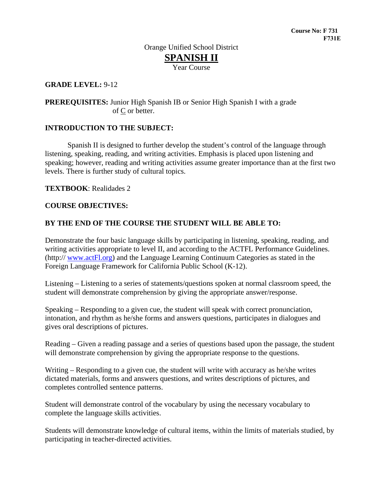# Year Course

## **GRADE LEVEL:** 9**-**12

**PREREQUISITES:** Junior High Spanish IB or Senior High Spanish I with a grade of C or better.

### **INTRODUCTION TO THE SUBJECT:**

Spanish II is designed to further develop the student's control of the language through listening, speaking, reading, and writing activities. Emphasis is placed upon listening and speaking; however, reading and writing activities assume greater importance than at the first two levels. There is further study of cultural topics.

**TEXTBOOK**: Realidades 2

### **COURSE OBJECTIVES:**

### **BY THE END OF THE COURSE THE STUDENT WILL BE ABLE TO:**

Demonstrate the four basic language skills by participating in listening, speaking, reading, and writing activities appropriate to level II, and according to the ACTFL Performance Guidelines. (http:// [www.actFl.org\)](http://www.actfl.org/) and the Language Learning Continuum Categories as stated in the Foreign Language Framework for California Public School (K-12).

Listening – Listening to a series of statements/questions spoken at normal classroom speed, the student will demonstrate comprehension by giving the appropriate answer/response.

Speaking – Responding to a given cue, the student will speak with correct pronunciation, intonation, and rhythm as he/she forms and answers questions, participates in dialogues and gives oral descriptions of pictures.

Reading – Given a reading passage and a series of questions based upon the passage, the student will demonstrate comprehension by giving the appropriate response to the questions.

Writing – Responding to a given cue, the student will write with accuracy as he/she writes dictated materials, forms and answers questions, and writes descriptions of pictures, and completes controlled sentence patterns.

Student will demonstrate control of the vocabulary by using the necessary vocabulary to complete the language skills activities.

Students will demonstrate knowledge of cultural items, within the limits of materials studied, by participating in teacher-directed activities.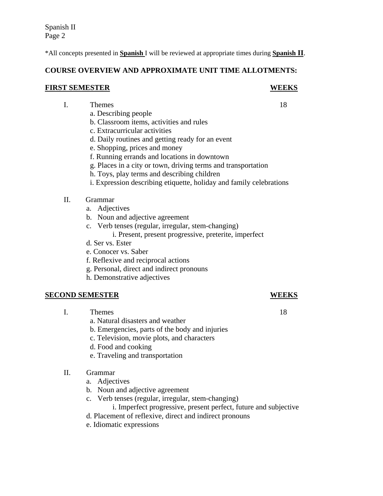\*All concepts presented in **Spanish** I will be reviewed at appropriate times during **Spanish II**.

## **COURSE OVERVIEW AND APPROXIMATE UNIT TIME ALLOTMENTS:**

#### **FIRST SEMESTER WEEKS**

- I. Themes 18
	- a. Describing people
	- b. Classroom items, activities and rules
	- c. Extracurricular activities
	- d. Daily routines and getting ready for an event
	- e. Shopping, prices and money
	- f. Running errands and locations in downtown
	- g. Places in a city or town, driving terms and transportation
	- h. Toys, play terms and describing children
	- i. Expression describing etiquette, holiday and family celebrations
	- II. Grammar
		- a. Adjectives
		- b. Noun and adjective agreement
		- c. Verb tenses (regular, irregular, stem-changing)
			- i. Present, present progressive, preterite, imperfect
		- d. Ser vs. Ester
		- e. Conocer vs. Saber
		- f. Reflexive and reciprocal actions
		- g. Personal, direct and indirect pronouns
		- h. Demonstrative adjectives

## **SECOND SEMESTER WEEKS**

- I. Themes 18
	- a. Natural disasters and weather
	- b. Emergencies, parts of the body and injuries
	- c. Television, movie plots, and characters
	- d. Food and cooking
	- e. Traveling and transportation
	- II. Grammar
		- a. Adjectives
		- b. Noun and adjective agreement
		- c. Verb tenses (regular, irregular, stem-changing)
			- i. Imperfect progressive, present perfect, future and subjective
		- d. Placement of reflexive, direct and indirect pronouns
		- e. Idiomatic expressions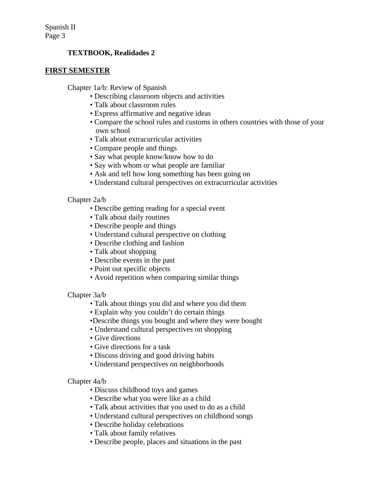## **TEXTBOOK, Realidades 2**

#### **FIRST SEMESTER**

Chapter 1a/b: Review of Spanish

- Describing classroom objects and activities
- Talk about classroom rules
- Express affirmative and negative ideas
- Compare the school rules and customs in others countries with those of your own school
- Talk about extracurricular activities
- Compare people and things
- Say what people know/know how to do
- Say with whom or what people are familiar
- Ask and tell how long something has been going on
- Understand cultural perspectives on extracurricular activities

#### Chapter 2a/b

- Describe getting reading for a special event
- Talk about daily routines
- Describe people and things
- Understand cultural perspective on clothing
- Describe clothing and fashion
- Talk about shopping
- Describe events in the past
- Point out specific objects
- Avoid repetition when comparing similar things

#### Chapter 3a/b

- Talk about things you did and where you did them
- Explain why you couldn't do certain things
- •Describe things you bought and where they were bought
- Understand cultural perspectives on shopping
- Give directions
- Give directions for a task
- Discuss driving and good driving habits
- Understand perspectives on neighborhoods

#### Chapter 4a/b

- Discuss childhood toys and games
- Describe what you were like as a child
- Talk about activities that you used to do as a child
- Understand cultural perspectives on childhood songs
- Describe holiday celebrations
- Talk about family relatives
- Describe people, places and situations in the past